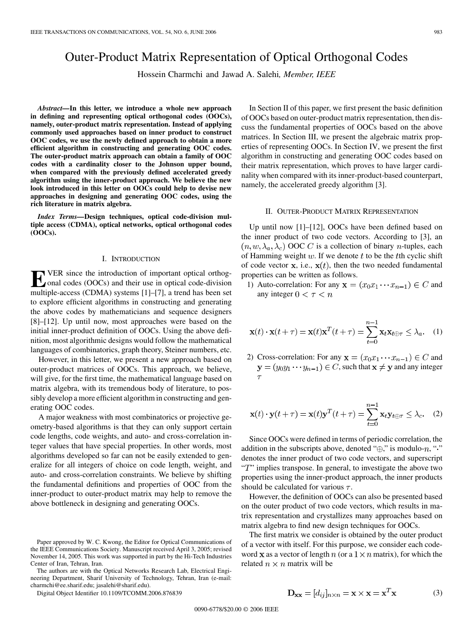# <span id="page-0-0"></span>Outer-Product Matrix Representation of Optical Orthogonal Codes

Hossein Charmchi and Jawad A. Salehi*, Member, IEEE*

*Abstract—***In this letter, we introduce a whole new approach in defining and representing optical orthogonal codes (OOCs), namely, outer-product matrix representation. Instead of applying commonly used approaches based on inner product to construct OOC codes, we use the newly defined approach to obtain a more efficient algorithm in constructing and generating OOC codes. The outer-product matrix approach can obtain a family of OOC codes with a cardinality closer to the Johnson upper bound, when compared with the previously defined accelerated greedy algorithm using the inner-product approach. We believe the new look introduced in this letter on OOCs could help to devise new approaches in designing and generating OOC codes, using the rich literature in matrix algebra.**

*Index Terms—***Design techniques, optical code-division multiple access (CDMA), optical networks, optical orthogonal codes (OOCs).**

#### I. INTRODUCTION

**E**VER since the introduction of important optical orthogronal codes (OOCs) and their use in optical code-division multiple-access (CDMA) systems [\[1\]–\[7\],](#page-6-0) a trend has been set to explore efficient algorithms in constructing and generating the above codes by mathematicians and sequence designers [\[8\]–\[12\]](#page-6-0). Up until now, most approaches were based on the initial inner-product definition of OOCs. Using the above definition, most algorithmic designs would follow the mathematical languages of combinatorics, graph theory, Steiner numbers, etc.

However, in this letter, we present a new approach based on outer-product matrices of OOCs. This approach, we believe, will give, for the first time, the mathematical language based on matrix algebra, with its tremendous body of literature, to possibly develop a more efficient algorithm in constructing and generating OOC codes.

A major weakness with most combinatorics or projective geometry-based algorithms is that they can only support certain code lengths, code weights, and auto- and cross-correlation integer values that have special properties. In other words, most algorithms developed so far can not be easily extended to generalize for all integers of choice on code length, weight, and auto- and cross-correlation constraints. We believe by shifting the fundamental definitions and properties of OOC from the inner-product to outer-product matrix may help to remove the above bottleneck in designing and generating OOCs.

The authors are with the Optical Networks Research Lab, Electrical Engineering Department, Sharif University of Technology, Tehran, Iran (e-mail: charmchi@ee.sharif.edu; jasalehi@sharif.edu).

Digital Object Identifier 10.1109/TCOMM.2006.876839

In Section II of this paper, we first present the basic definition of OOCs based on outer-product matrix representation, then discuss the fundamental properties of OOCs based on the above matrices. In [Section III,](#page-1-0) we present the algebraic matrix properties of representing OOCs. In [Section IV](#page-3-0), we present the first algorithm in constructing and generating OOC codes based on their matrix representation, which proves to have larger cardinality when compared with its inner-product-based counterpart, namely, the accelerated greedy algorithm [\[3\]](#page-6-0).

#### II. OUTER-PRODUCT MATRIX REPRESENTATION

Up until now [\[1\]–\[12\],](#page-6-0) OOCs have been defined based on the inner product of two code vectors. According to [\[3\]](#page-6-0), an  $(n, w, \lambda_a, \lambda_c)$  OOC C is a collection of binary *n*-tuples, each of Hamming weight  $w$ . If we denote  $t$  to be the the cyclic shift of code vector **x**, i.e.,  $\mathbf{x}(t)$ , then the two needed fundamental properties can be written as follows.

1) Auto-correlation: For any  $\mathbf{x} = (x_0 x_1 \cdots x_{n-1}) \in C$  and any integer  $0 < \tau < n$ 

$$
\mathbf{x}(t) \cdot \mathbf{x}(t+\tau) = \mathbf{x}(t)\mathbf{x}^T(t+\tau) = \sum_{t=0}^{n-1} \mathbf{x}_t \mathbf{x}_{t \oplus \tau} \le \lambda_a.
$$
 (1)

2) Cross-correlation: For any  $\mathbf{x} = (x_0 x_1 \cdots x_{n-1}) \in C$  and  $y = (y_0y_1 \cdots y_{n-1}) \in C$ , such that  $x \neq y$  and any integer

$$
\mathbf{x}(t) \cdot \mathbf{y}(t+\tau) = \mathbf{x}(t)\mathbf{y}^T(t+\tau) = \sum_{t=0}^{n-1} \mathbf{x}_t \mathbf{y}_{t \oplus \tau} \le \lambda_c. \quad (2)
$$

Since OOCs were defined in terms of periodic correlation, the addition in the subscripts above, denoted " $\oplus$ ," is modulo-n, "." denotes the inner product of two code vectors, and superscript " $T$ " implies transpose. In general, to investigate the above two properties using the inner-product approach, the inner products should be calculated for various  $\tau$ .

However, the definition of OOCs can also be presented based on the outer product of two code vectors, which results in matrix representation and crystallizes many approaches based on matrix algebra to find new design techniques for OOCs.

The first matrix we consider is obtained by the outer product of a vector with itself. For this purpose, we consider each codeword **x** as a vector of length n (or a  $1 \times n$  matrix), for which the related  $n \times n$  matrix will be

$$
\mathbf{D}_{\mathbf{xx}} = [d_{ij}]_{n \times n} = \mathbf{x} \times \mathbf{x} = \mathbf{x}^{T} \mathbf{x}
$$
 (3)

Paper approved by W. C. Kwong, the Editor for Optical Communications of the IEEE Communications Society. Manuscript received April 3, 2005; revised November 14, 2005. This work was supported in part by the Hi-Tech Industries Center of Iran, Tehran, Iran.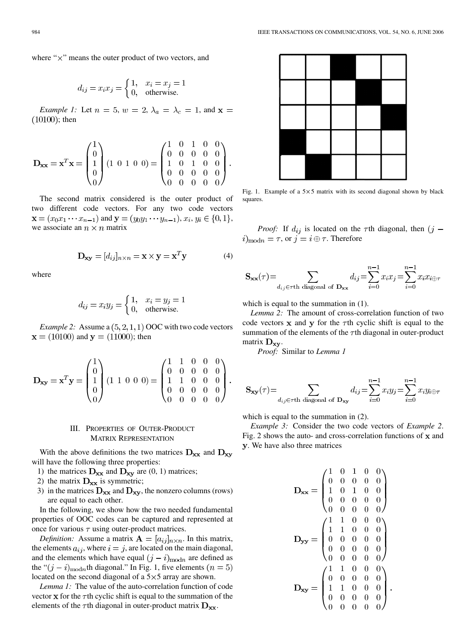<span id="page-1-0"></span>where " $\times$ " means the outer product of two vectors, and

$$
d_{ij} = x_i x_j = \begin{cases} 1, & x_i = x_j = 1 \\ 0, & \text{otherwise.} \end{cases}
$$

*Example 1:* Let  $n = 5$ ,  $w = 2$ ,  $\lambda_a = \lambda_c = 1$ , and  $\mathbf{x} =$  $(10100)$ ; then

$$
\mathbf{D}_{\mathbf{xx}} = \mathbf{x}^T \mathbf{x} = \begin{pmatrix} 1 \\ 0 \\ 1 \\ 0 \\ 0 \end{pmatrix} (1\ 0\ 1\ 0\ 0) = \begin{pmatrix} 1 & 0 & 1 & 0 & 0 \\ 0 & 0 & 0 & 0 & 0 \\ 1 & 0 & 1 & 0 & 0 \\ 0 & 0 & 0 & 0 & 0 \\ 0 & 0 & 0 & 0 & 0 \end{pmatrix}.
$$

The second matrix considered is the outer product of two different code vectors. For any two code vectors  $\mathbf{x} = (x_0 x_1 \cdots x_{n-1})$  and  $\mathbf{y} = (y_0 y_1 \cdots y_{n-1}), x_i, y_i \in \{0, 1\},\$ we associate an  $n \times n$  matrix

$$
\mathbf{D}_{\mathbf{xy}} = [d_{ij}]_{n \times n} = \mathbf{x} \times \mathbf{y} = \mathbf{x}^{T} \mathbf{y}
$$
(4)

where

$$
d_{ij} = x_i y_j = \begin{cases} 1, & x_i = y_j = 1 \\ 0, & \text{otherwise.} \end{cases}
$$

*Example 2:* Assume a  $(5, 2, 1, 1)$  OOC with two code vectors  $x = (10100)$  and  $y = (11000)$ ; then

$$
\mathbf{D_{xy}} = \mathbf{x}^T \mathbf{y} = \begin{pmatrix} 1 \\ 0 \\ 1 \\ 0 \\ 0 \end{pmatrix} (1\ 1\ 0\ 0\ 0) = \begin{pmatrix} 1 & 1 & 0 & 0 & 0 \\ 0 & 0 & 0 & 0 & 0 \\ 1 & 1 & 0 & 0 & 0 \\ 0 & 0 & 0 & 0 & 0 \\ 0 & 0 & 0 & 0 & 0 \end{pmatrix}.
$$

## III. PROPERTIES OF OUTER-PRODUCT MATRIX REPRESENTATION

With the above definitions the two matrices  $D_{xx}$  and  $D_{xy}$ will have the following three properties:

- 1) the matrices  $D_{xx}$  and  $D_{xy}$  are (0, 1) matrices;
- 2) the matrix  $D_{xx}$  is symmetric;
- 3) in the matrices  $D_{xx}$  and  $D_{xy}$ , the nonzero columns (rows) are equal to each other.

In the following, we show how the two needed fundamental properties of OOC codes can be captured and represented at once for various  $\tau$  using outer-product matrices.

*Definition:* Assume a matrix  $\mathbf{A} = [a_{ij}]_{n \times n}$ . In this matrix, the elements  $a_{ij}$ , where  $i = j$ , are located on the main diagonal, and the elements which have equal  $(j - i)_{\text{mod}n}$  are defined as the " $(j - i)$ <sub>modn</sub>th diagonal." In Fig. 1, five elements  $(n = 5)$ located on the second diagonal of a  $5 \times 5$  array are shown.

*Lemma 1:* The value of the auto-correlation function of code vector  $x$  for the  $\tau$ th cyclic shift is equal to the summation of the elements of the  $\tau$ th diagonal in outer-product matrix  $D_{xx}$ .



Fig. 1. Example of a  $5\times 5$  matrix with its second diagonal shown by black squares.

*Proof:* If  $d_{ij}$  is located on the  $\tau$ th diagonal, then  $(j (i)_{\text{mod}n} = \tau$ , or  $j = i \oplus \tau$ . Therefore

$$
\mathbf{S}_{\mathbf{xx}}(\tau) = \sum_{d_{ij} \in \tau \text{th diagonal of } \mathbf{D}_{\mathbf{xx}}} d_{ij} = \sum_{i=0}^{n-1} x_i x_j = \sum_{i=0}^{n-1} x_i x_{i \oplus \tau}
$$

which is equal to the summation in  $(1)$ .

*Lemma 2:* The amount of cross-correlation function of two code vectors  $x$  and  $y$  for the  $\tau$ th cyclic shift is equal to the summation of the elements of the  $\tau$ th diagonal in outer-product matrix  $D_{xy}$ .

*Proof:* Similar to *Lemma 1*

$$
\mathbf{S}_{\mathbf{xy}}(\tau) = \sum_{d_{ij} \in \tau \text{th diagonal of } \mathbf{D}_{\mathbf{xy}}} d_{ij} = \sum_{i=0}^{n-1} x_i y_j = \sum_{i=0}^{n-1} x_i y_{i \oplus \tau}
$$

which is equal to the summation in [\(2\).](#page-0-0)

*Example 3:* Consider the two code vectors of *Example 2*. [Fig. 2](#page-2-0) shows the auto- and cross-correlation functions of  $x$  and . We have also three matrices

$$
\mathbf{D}_{\mathbf{x}\mathbf{x}} = \begin{pmatrix} 1 & 0 & 1 & 0 & 0 \\ 0 & 0 & 0 & 0 & 0 \\ 1 & 0 & 1 & 0 & 0 \\ 0 & 0 & 0 & 0 & 0 \\ 0 & 0 & 0 & 0 & 0 \end{pmatrix}
$$

$$
\mathbf{D}_{\mathbf{y}\mathbf{y}} = \begin{pmatrix} 1 & 1 & 0 & 0 & 0 \\ 1 & 1 & 0 & 0 & 0 \\ 0 & 0 & 0 & 0 & 0 \\ 0 & 0 & 0 & 0 & 0 \\ 0 & 0 & 0 & 0 & 0 \end{pmatrix}
$$

$$
\mathbf{D}_{\mathbf{x}\mathbf{y}} = \begin{pmatrix} 1 & 1 & 0 & 0 & 0 \\ 0 & 0 & 0 & 0 & 0 \\ 1 & 1 & 0 & 0 & 0 \\ 0 & 0 & 0 & 0 & 0 \\ 0 & 0 & 0 & 0 & 0 \end{pmatrix}
$$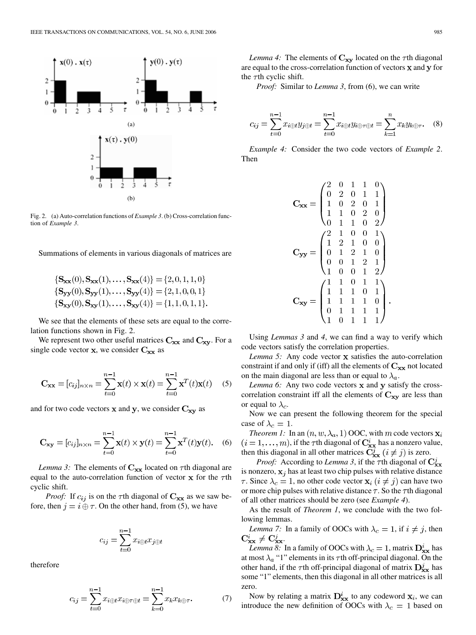<span id="page-2-0"></span>

Fig. 2. (a) Auto-correlation functions of *Example 3*. (b) Cross-correlation function of *Example 3*.

Summations of elements in various diagonals of matrices are

 $\{S_{xx}(0), S_{xx}(1), \ldots, S_{xx}(4)\} = \{2, 0, 1, 1, 0\}$  $\{S_{yy}(0), S_{yy}(1), \ldots, S_{yy}(4)\} = \{2, 1, 0, 0, 1\}$  $\{S_{xy}(0), S_{xy}(1), \ldots, S_{xy}(4)\} = \{1, 1, 0, 1, 1\}.$ 

We see that the elements of these sets are equal to the correlation functions shown in Fig. 2.

We represent two other useful matrices  $C_{xx}$  and  $C_{xy}$ . For a single code vector  $x$ , we consider  $C_{xx}$  as

$$
\mathbf{C}_{\mathbf{xx}} = [c_{ij}]_{n \times n} = \sum_{t=0}^{n-1} \mathbf{x}(t) \times \mathbf{x}(t) = \sum_{t=0}^{n-1} \mathbf{x}^{T}(t)\mathbf{x}(t) \quad (5)
$$

and for two code vectors  $x$  and  $y$ , we consider  $C_{xy}$  as

$$
\mathbf{C}_{\mathbf{xy}} = [c_{ij}]_{n \times n} = \sum_{t=0}^{n-1} \mathbf{x}(t) \times \mathbf{y}(t) = \sum_{t=0}^{n-1} \mathbf{x}^{T}(t)\mathbf{y}(t).
$$
 (6)

*Lemma 3:* The elements of  $C_{xx}$  located on  $\tau$ th diagonal are equal to the auto-correlation function of vector  $x$  for the  $\tau$ th cyclic shift.

*Proof:* If  $c_{ij}$  is on the  $\tau$ th diagonal of  $C_{xx}$  as we saw before, then  $j = i \oplus \tau$ . On the other hand, from (5), we have

$$
c_{ij} = \sum_{t=0}^{n-1} x_{i \oplus t} x_{j \oplus t}
$$

therefore

$$
c_{ij} = \sum_{t=0}^{n-1} x_{i \oplus t} x_{i \oplus \tau \oplus t} = \sum_{k=0}^{n-1} x_k x_{k \oplus \tau}.
$$
 (7)

*Proof:* Similar to *Lemma 3*, from (6), we can write

$$
c_{ij} = \sum_{t=0}^{n-1} x_{i \oplus t} y_{j \oplus t} = \sum_{t=0}^{n-1} x_{i \oplus t} y_{i \oplus \tau \oplus t} = \sum_{k=1}^{n} x_k y_{k \oplus \tau}.
$$
 (8)

*Example 4:* Consider the two code vectors of *Example 2*. Then

$$
\mathbf{C_{xx}} = \begin{pmatrix} 2 & 0 & 1 & 1 & 0 \\ 0 & 2 & 0 & 1 & 1 \\ 1 & 0 & 2 & 0 & 1 \\ 1 & 1 & 0 & 2 & 0 \\ 0 & 1 & 1 & 0 & 2 \end{pmatrix}
$$

$$
\mathbf{C_{yy}} = \begin{pmatrix} 2 & 1 & 0 & 0 & 1 \\ 1 & 2 & 1 & 0 & 0 \\ 0 & 1 & 2 & 1 & 0 \\ 0 & 0 & 1 & 2 & 1 \\ 1 & 0 & 0 & 1 & 2 \end{pmatrix}
$$

$$
\mathbf{C_{xy}} = \begin{pmatrix} 1 & 1 & 0 & 1 & 1 \\ 1 & 1 & 1 & 0 & 1 \\ 1 & 1 & 1 & 1 & 0 \\ 0 & 1 & 1 & 1 & 1 \\ 1 & 0 & 1 & 1 & 1 \end{pmatrix}
$$

Using *Lemmas 3* and *4*, we can find a way to verify which code vectors satisfy the correlation properties.

*Lemma 5:* Any code vector x satisfies the auto-correlation constraint if and only if (iff) all the elements of  $C_{xx}$  not located on the main diagonal are less than or equal to  $\lambda_a$ .

*Lemma 6:* Any two code vectors **x** and **y** satisfy the crosscorrelation constraint iff all the elements of  $C_{xy}$  are less than or equal to  $\lambda_c$ .

Now we can present the following theorem for the special case of  $\lambda_c = 1$ .

*Theorem 1:* In an  $(n, w, \lambda_a, 1)$  OOC, with m code vectors  $\mathbf{x}_i$  $(i=1,\ldots,m),$  if the  $\tau$  th diagonal of  $\mathbf{C}_{\mathbf{x}\mathbf{x}}^{i}$  has a nonzero value, then this diagonal in all other matrices  $C_{xx}^{j}$   $(i \neq j)$  is zero.

*Proof:* According to *Lemma 3*, if the  $\tau$ th diagonal of  $C_{xx}^{j}$ is nonzero,  $x_j$  has at least two chip pulses with relative distance  $\tau$ . Since  $\lambda_c = 1$ , no other code vector  $\mathbf{x}_i$   $(i \neq j)$  can have two or more chip pulses with relative distance  $\tau$ . So the  $\tau$ th diagonal of all other matrices should be zero (see *Example 4*).

As the result of *Theorem 1*, we conclude with the two following lemmas.

*Lemma 7:* In a family of OOCs with  $\lambda_c = 1$ , if  $i \neq j$ , then  $\mathbf{C}_{\mathbf{xx}}^i \neq \mathbf{C}_{\mathbf{xx}}^j$ .

*Lemma 8:* In a family of OOCs with  $\lambda_c = 1$ , matrix  $\mathbf{D}_{\mathbf{xx}}^i$  has at most  $\lambda_a$  "1" elements in its  $\tau$ th off-principal diagonal. On the other hand, if the  $\tau$ th off-principal diagonal of matrix  $\mathbf{D}_{\mathbf{x}\mathbf{x}}^j$  has some "1" elements, then this diagonal in all other matrices is all zero.

Now by relating a matrix  $D_{xx}^i$  to any codeword  $x_i$ , we can introduce the new definition of OOCs with  $\lambda_c = 1$  based on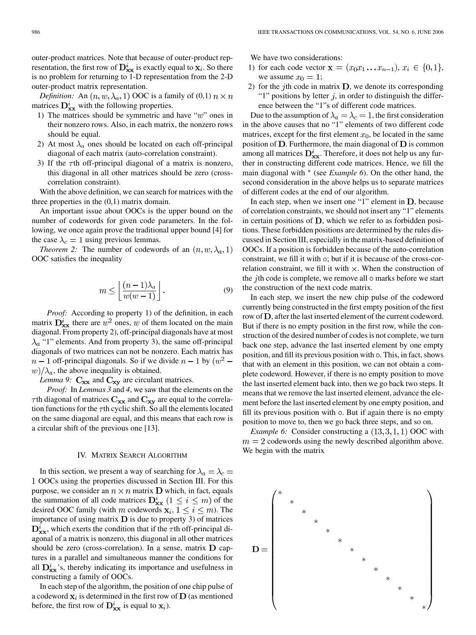<span id="page-3-0"></span>outer-product matrices. Note that because of outer-product representation, the first row of  $\mathbf{D}^i_{\mathbf{xx}}$  is exactly equal to  $\mathbf{x}_i$ . So there is no problem for returning to 1-D representation from the 2-D outer-product matrix representation.

*Definition:* An  $(n, w, \lambda_a, 1)$  OOC is a family of  $(0,1)$   $n \times n$ matrices  $D_{xx}^i$  with the following properties.

- 1) The matrices should be symmetric and have " $w$ " ones in their nonzero rows. Also, in each matrix, the nonzero rows should be equal.
- 2) At most  $\lambda_a$  ones should be located on each off-principal diagonal of each matrix (auto-correlation constraint).
- 3) If the  $\tau$ th off-principal diagonal of a matrix is nonzero, this diagonal in all other matrices should be zero (crosscorrelation constraint).

With the above definition, we can search for matrices with the three properties in the  $(0,1)$  matrix domain.

An important issue about OOCs is the upper bound on the number of codewords for given code parameters. In the following, we once again prove the traditional upper bound [\[4\]](#page-6-0) for the case  $\lambda_c = 1$  using previous lemmas.

*Theorem 2:* The number of codewords of an  $(n, w, \lambda_a, 1)$ OOC satisfies the inequality

$$
m \le \left\lfloor \frac{(n-1)\lambda_a}{w(w-1)} \right\rfloor. \tag{9}
$$

*Proof:* According to property 1) of the definition, in each matrix  $\mathbf{D}_{\mathbf{xx}}^i$  there are  $w^2$  ones, w of them located on the main diagonal. From property 2), off-principal diagonals have at most  $\lambda_a$  "1" elements. And from property 3), the same off-principal diagonals of two matrices can not be nonzero. Each matrix has  $n-1$  off-principal diagonals. So if we divide  $n-1$  by  $(w^2 (w)/\lambda_a$ , the above inequality is obtained.

*Lemma 9:*  $C_{xx}$  and  $C_{xy}$  are circulant matrices.

*Proof:* In *Lemmas 3* and *4*, we saw that the elements on the  $\tau$ th diagonal of matrices  $C_{xx}$  and  $C_{xy}$  are equal to the correlation functions for the  $\tau$ th cyclic shift. So all the elements located on the same diagonal are equal, and this means that each row is a circular shift of the previous one [\[13\].](#page-6-0)

#### IV. MATRIX SEARCH ALGORITHM

In this section, we present a way of searching for  $\lambda_a = \lambda_c =$ OOCs using the properties discussed in [Section III.](#page-1-0) For this purpose, we consider an  $n \times n$  matrix **D** which, in fact, equals the summation of all code matrices  $\mathbf{D}_{\mathbf{x}\mathbf{x}}^i$   $(1 \leq i \leq m)$  of the desired OOC family (with m codewords  $x_i$ ,  $1 \le i \le m$ ). The importance of using matrix  $D$  is due to property 3) of matrices  $\mathbf{D}_{\mathbf{xx}}^i$ , which exerts the condition that if the  $\tau$ th off-principal diagonal of a matrix is nonzero, this diagonal in all other matrices should be zero (cross-correlation). In a sense, matrix  $\bf{D}$  captures in a parallel and simultaneous manner the conditions for all  $D_{xx}^{i}$ 's, thereby indicating its importance and usefulness in constructing a family of OOCs.

In each step of the algorithm, the position of one chip pulse of a codeword  $x_i$  is determined in the first row of  $D$  (as mentioned before, the first row of  $\mathbf{D}_{\mathbf{x}\mathbf{x}}^i$  is equal to  $\mathbf{x}_i$ ).

We have two considerations:

- 1) for each code vector  $\mathbf{x} = (x_0 x_1 ... x_{n-1}), x_i \in \{0, 1\},\$ we assume  $x_0 = 1$ ;
- 2) for the jth code in matrix  $D$ , we denote its corresponding "1" positions by letter  $j$ , in order to distinguish the difference between the "1"s of different code matrices.

Due to the assumption of  $\lambda_a = \lambda_c = 1$ , the first consideration in the above causes that no "1" elements of two different code matrices, except for the first element  $x_0$ , be located in the same position of  $D$ . Furthermore, the main diagonal of  $D$  is common among all matrices  $D_{xx}^i$ . Therefore, it does not help us any further in constructing different code matrices. Hence, we fill the main diagonal with  $*$  (see *Example 6*). On the other hand, the second consideration in the above helps us to separate matrices of different codes at the end of our algorithm.

In each step, when we insert one "1" element in  $D$ , because of correlation constraints, we should not insert any "1" elements in certain positions of  $D$ , which we refer to as forbidden positions. These forbidden positions are determined by the rules discussed in [Section III](#page-1-0), especially in the matrix-based definition of OOCs. If a position is forbidden because of the auto-correlation constraint, we fill it with  $\circ$ ; but if it is because of the cross-correlation constraint, we fill it with  $\times$ . When the construction of the j<sup>th</sup> code is complete, we remove all  $\circ$  marks before we start the construction of the next code matrix.

In each step, we insert the new chip pulse of the codeword currently being constructed in the first empty position of the first row of  $\mathbf D$ , after the last inserted element of the current codeword. But if there is no empty position in the first row, while the construction of the desired number of codes is not complete, we turn back one step, advance the last inserted element by one empty position, and fill its previous position with  $\circ$ . This, in fact, shows that with an element in this position, we can not obtain a complete codeword. However, if there is no empty position to move the last inserted element back into, then we go back two steps. It means that we remove the last inserted element, advance the element before the last inserted element by one empty position, and fill its previous position with  $\circ$ . But if again there is no empty position to move to, then we go back three steps, and so on.

*Example 6:* Consider constructing a  $(13,3,1,1)$  OOC with  $m = 2$  codewords using the newly described algorithm above. We begin with the matrix

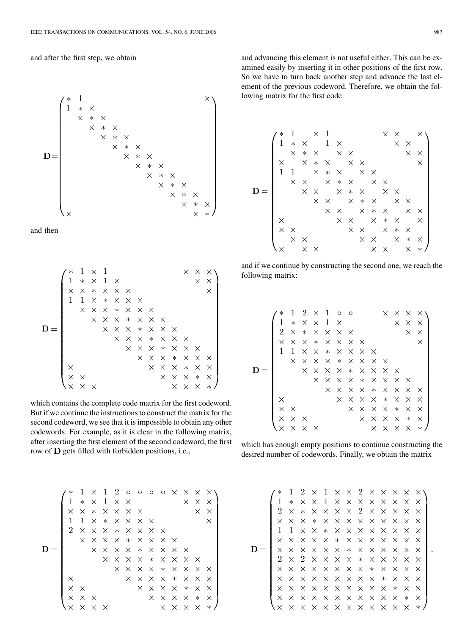and after the first step, we obtain

and then



which contains the complete code matrix for the first codeword. But if we continue the instructions to construct the matrix for the second codeword, we see that it is impossible to obtain any other codewords. For example, as it is clear in the following matrix, after inserting the first element of the second codeword, the first row of  $D$  gets filled with forbidden positions, i.e.,

and advancing this element is not useful either. This can be examined easily by inserting it in other positions of the first row. So we have to turn back another step and advance the last element of the previous codeword. Therefore, we obtain the following matrix for the first code:



and if we continue by constructing the second one, we reach the following matrix:

| $\ast$      | 1                 |          | $2 \times 1$ 0 0                               |   |              |                                                       |          |          | $\times$                       |                            | $\times$ $\times$ $\times$ |          |
|-------------|-------------------|----------|------------------------------------------------|---|--------------|-------------------------------------------------------|----------|----------|--------------------------------|----------------------------|----------------------------|----------|
| 1           |                   |          | $* \times \times 1$                            |   | $\mathsf{X}$ |                                                       |          |          |                                | $\times$                   | $\times$ $\times$          |          |
| $2^{\circ}$ |                   |          | $\times$ * $\times$ $\times$ $\times$ $\times$ |   |              |                                                       |          |          |                                |                            | $\times$                   | $\times$ |
| $\times$    |                   |          |                                                |   |              | $\times$ $\times$ $\times$ $\times$ $\times$ $\times$ |          |          |                                |                            |                            | ×        |
| 1           | 1                 |          |                                                |   |              | $X$ $X$ $*$ $X$ $X$ $X$ $X$                           |          |          |                                |                            |                            |          |
|             | $\times$          |          |                                                |   |              | $X$ $X$ $X$ $*$ $X$ $X$ $X$ $X$                       |          |          |                                |                            |                            |          |
|             |                   | $\times$ |                                                |   |              | x x x * x x x x                                       |          |          |                                |                            |                            |          |
|             |                   |          | $\times$                                       |   |              | <b>x x x * x x x x</b>                                |          |          |                                |                            |                            |          |
|             |                   |          |                                                | X |              | X X X * X X X X                                       |          |          |                                |                            |                            |          |
| $\times$    |                   |          |                                                |   | $\times$     |                                                       |          |          | $\times$ $\times$ $\times$ $*$ |                            | $\times$ $\times$ $\times$ |          |
|             | $X \times$        |          |                                                |   |              | $\times$                                              |          |          | $X \times X$                   |                            | $*$ $\times$ $\times$      |          |
| $\times$    | $\times$ $\times$ |          |                                                |   |              |                                                       | $\times$ |          | $X$ $X$ $X$ $*$                |                            |                            | $\times$ |
| X           | $\times$          | $\times$ | $\mathsf{X}$                                   |   |              |                                                       |          | $\times$ |                                | $\times$ $\times$ $\times$ |                            | $\ast$   |

which has enough empty positions to continue constructing the desired number of codewords. Finally, we obtain the matrix

|  | $\ast$         | 1        | $\overline{2}$ |          |          |              | $\times$ 1 $\times$ $\times$ 2 $\times$ $\times$ $\times$ |                |          |                   |          | $\mathsf{X}$ | $\times$ |  |
|--|----------------|----------|----------------|----------|----------|--------------|-----------------------------------------------------------|----------------|----------|-------------------|----------|--------------|----------|--|
|  | 1              | $\ast$   | X              | $\times$ | 1        | $\times$     | $\times$                                                  | $\times$       | $\times$ | $\times$          | $\times$ | $\times$     | X        |  |
|  | 2              | X        | $\ast$         | $\times$ | $\times$ | $\times$     | $\times$                                                  | $\overline{2}$ | $\times$ | $X \times$        |          | $\times$     | X        |  |
|  | X              | $\times$ | $\times$       | $\ast$   | $\times$ |              | $\times$ $\times$                                         | $\times$       | $\times$ | $\times$          | $\times$ | $\times$     | X        |  |
|  | 1              | 1        | X              | X        | $\ast$   | $\times$     | $\times$                                                  | $\times$       | $\times$ | $\times$ $\times$ |          | $\times$     | X        |  |
|  | X              | $\times$ | $\times$       | $\times$ | $\times$ | $*$          | $\times$                                                  | $\times$       | $\times$ | $\times$ $\times$ |          | $\times$     | $\times$ |  |
|  | X              | $\times$ | $\times$       | $\times$ | $\times$ | $\mathsf{X}$ | $\ast$                                                    | $\times$       | $\times$ | $\times$          | $\times$ | $\times$     | X        |  |
|  | $\overline{2}$ | $\times$ | 2              | $\times$ | $\times$ |              | $\times$ $\times$                                         | $\ast$         | $\times$ | $\times$ $\times$ |          | $\times$     | X        |  |
|  | ×.             | $\times$ | $\times$       | $\times$ | $\times$ | $\times$     | $\times$                                                  | $\times$       | $\ast$   | $\times$          | $\times$ | $\times$     | X        |  |
|  | X              | $\times$ | $\times$       | X        | $\times$ | $\times$     | $\times$                                                  | $\times$       | $\times$ | $\ast$            | $\times$ | $\times$     | X        |  |
|  | X              | $\times$ | $\times$       | $\times$ | $\times$ | $\times$     | $\times$                                                  | $\times$       | $\times$ | $\times$          | $\ast$   | $\times$     | X        |  |
|  | X              | $\times$ | $\times$       | $\times$ | $\times$ | $\times$     | $\times$                                                  | $\times$       | $\times$ | $\times$          | X        | $\ast$       | Χ        |  |
|  |                | ×        | $\times$       | $\times$ | X        | $\times$     | $\times$                                                  | $\times$       | $\times$ | $\times$          | X        | $\times$     | $\ast$   |  |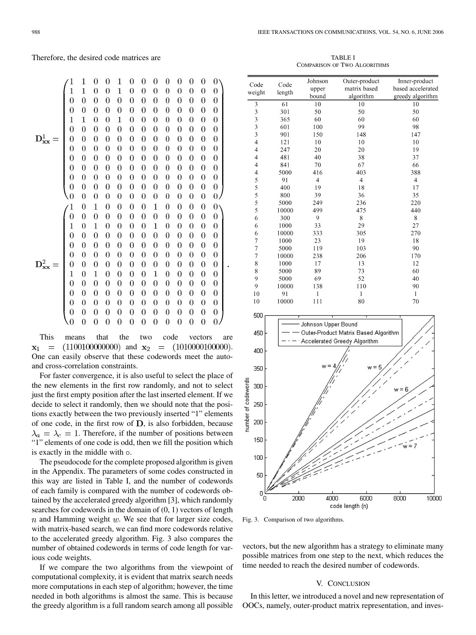Therefore, the desired code matrices are

1  $\theta$  $\overline{0}$  $\overline{0}$  $\Omega$  $\Omega$  $\overline{0}$  $\overline{0}$  $\overline{0}$  $\left( \right)$ -1  $\left($  $\mathbf{1}$ 0  $\boldsymbol{0}$  $\boldsymbol{0}$  $\mathbf{0}$  $\mathbf{0}$  $\boldsymbol{0}$  $\boldsymbol{0}$  $\overline{0}$  $\boldsymbol{0}$  $\boldsymbol{0}$  $\overline{0}$  $\boldsymbol{0}$  $\overline{0}$  $\boldsymbol{0}$  $\boldsymbol{0}$  $\overline{0}$  $\overline{0}$  $\overline{0}$  $\boldsymbol{0}$  $\mathbf{0}$  $\overline{0}$  $0\quad 0$  $\overline{0}$  $\boldsymbol{0}$  $\boldsymbol{0}$  $\overline{0}$  $\boldsymbol{0}$  $\boldsymbol{0}$  $\boldsymbol{0}$  $\mathbf{0}$  $\Omega$  $\overline{0}$  $\mathbf{1}$  $\mathbf{1}$  $\overline{0}$  $\boldsymbol{0}$  $\mathbf{1}$  $\boldsymbol{0}$  $\boldsymbol{0}$  $\boldsymbol{0}$  $\boldsymbol{0}$  $\boldsymbol{0}$  $\boldsymbol{0}$  $\overline{0}$  $\theta$  $\boldsymbol{0}$  $\boldsymbol{0}$  $\boldsymbol{0}$  $\boldsymbol{0}$  $\overline{0}$  $\boldsymbol{0}$  $\boldsymbol{0}$  $\boldsymbol{0}$  $\boldsymbol{0}$  $\boldsymbol{0}$  $\boldsymbol{0}$  $\boldsymbol{0}$  $\overline{0}$  $\mathbf{D}^1_{\mathbf{xx}} =$  $\boldsymbol{0}$  $\boldsymbol{0}$  $\boldsymbol{0}$  $\boldsymbol{0}$  $\mathbf{0}$  $\boldsymbol{0}$  $\boldsymbol{0}$  $\boldsymbol{0}$  $\boldsymbol{0}$  $\overline{0}$ 0  $\overline{0}$  $\overline{0}$  $\boldsymbol{0}$  $\boldsymbol{0}$  $\mathbf{0}$  $\overline{0}$  $\overline{0}$  $\boldsymbol{0}$  $\boldsymbol{0}$  $\boldsymbol{0}$  $\boldsymbol{0}$  $\mathbf 0$  $\boldsymbol{0}$  $\theta$  $\theta$  $\overline{0}$  $\overline{0}$  $\boldsymbol{0}$  $\boldsymbol{0}$  $\boldsymbol{0}$  $\boldsymbol{0}$  $\mathbf{0}$  $\boldsymbol{0}$  $\overline{0}$  $\boldsymbol{0}$  $\boldsymbol{0}$  $\boldsymbol{0}$  $\overline{0}$  $\boldsymbol{0}$  $\boldsymbol{0}$  $\boldsymbol{0}$  $\boldsymbol{0}$  $\boldsymbol{0}$  $\boldsymbol{0}$  $\boldsymbol{0}$  $\boldsymbol{0}$  $\overline{0}$  $\boldsymbol{0}$  $\boldsymbol{0}$  $\boldsymbol{0}$  $\boldsymbol{0}$  $\boldsymbol{0}$  $\boldsymbol{0}$  $\boldsymbol{0}$  $\overline{0}$  $\overline{0}$  $\boldsymbol{0}$  $\boldsymbol{0}$  $\boldsymbol{0}$  $\boldsymbol{0}$  $\boldsymbol{0}$  $\boldsymbol{0}$  $\overline{0}$ 0  $\overline{0}$  $\overline{0}$  $\overline{0}$  $\overline{0}$  $\overline{0}$  $\Omega$  $\Omega$  $\overline{0}$  $\overline{0}$  $\overline{0}$  $\Omega$  $\Omega$  $\Omega$  $\Omega$  $\overline{0}$  $\overline{0}$  $\overline{0}$  $\overline{0}$  $\overline{0}$  $\overline{0}$  $\overline{0}$  $\overline{0}$  $\overline{0}$  $\overline{0}$  $\overline{0}$  $\overline{0}$  $\overline{0}$  $\mathbf{1}$  $\overline{0}$  $\overline{0}$  $\overline{0}$  $\boldsymbol{0}$  $\mathbf 1$  $\boldsymbol{0}$  $\boldsymbol{0}$ 0  $\Omega$  $\boldsymbol{0}$  $\theta$  $\boldsymbol{0}$  $\boldsymbol{0}$  $\boldsymbol{0}$  $\overline{0}$  $\boldsymbol{0}$  $\overline{0}$  $\boldsymbol{0}$  $\boldsymbol{0}$  $\overline{0}$  $\boldsymbol{0}$  $\boldsymbol{0}$  $\Omega$  $\overline{0}$  $\mathbf{1}$  $\mathbf{1}$  $\overline{0}$  $\boldsymbol{0}$  $\boldsymbol{0}$  $\boldsymbol{0}$  $\mathbf{1}$  $\boldsymbol{0}$ 0  $\boldsymbol{0}$  $\boldsymbol{0}$ 0  $\overline{0}$  $\overline{0}$  $\overline{0}$  $\overline{0}$  $\overline{0}$  $\overline{0}$  $\overline{0}$  $\overline{0}$  $\overline{0}$  $\mathbf{0}$  $\overline{0}$  $\overline{0}$  $\Omega$  $\overline{0}$  $\overline{0}$  $\overline{0}$  $\overline{0}$  $\overline{0}$  $\overline{0}$  $\overline{0}$  $\overline{0}$  $\overline{0}$  $\overline{0}$  $\overline{0}$  $\overline{0}$  $\overline{0}$  $\Omega$  $\theta$  $\Omega$  $\overline{0}$  $\overline{0}$  $\overline{0}$  $\boldsymbol{0}$  $\overline{0}$  $\overline{0}$  $\Omega$  $\Omega$  $\Omega$  $\theta$  $D_{xx}^2 =$  $\overline{0}$  $\overline{0}$  $\overline{0}$  $\overline{0}$  $\overline{0}$  $\overline{0}$  $\boldsymbol{0}$  $\overline{0}$  $\overline{0}$  $\overline{0}$  $\overline{0}$  $\overline{0}$  $\overline{0}$  $\boldsymbol{0}$  $\overline{0}$  $\overline{0}$  $\mathbf{1}$  $\mathbf{1}$  $\boldsymbol{0}$  $\boldsymbol{0}$  $\boldsymbol{0}$  $\boldsymbol{0}$  $\boldsymbol{0}$  $\overline{0}$  $\mathbf 1$  $\bf{0}$  $\overline{0}$  $\overline{0}$  $\overline{0}$  $\overline{0}$  $\overline{0}$  $\overline{0}$  $\overline{0}$  $\overline{0}$  $\overline{0}$  $\overline{0}$  $\overline{0}$  $\overline{0}$  $\overline{0}$  $\overline{0}$  $\Omega$  $\overline{0}$  $\Omega$  $\Omega$  $\overline{0}$  $\overline{0}$  $\overline{0}$  $\overline{0}$  $\overline{0}$  $\Omega$  $\Omega$  $\overline{0}$  $\overline{0}$  $\overline{0}$  $\overline{0}$  $\overline{0}$  $\overline{0}$  $\boldsymbol{0}$  $\overline{0}$  $\overline{0}$  $\overline{0}$  $\overline{0}$  $\overline{0}$  $\overline{0}$  $\overline{0}$  $\overline{0}$  $\boldsymbol{0}$  $\overline{0}$  $\overline{0}$  $\overline{0}$  $\boldsymbol{0}$  $\boldsymbol{0}$  $\boldsymbol{0}$  $\boldsymbol{0}$  $\overline{0}$  $\overline{0}$ 0  $\theta$  $\theta$  $\overline{0}$  $\overline{0}$  $\overline{0}$  $\overline{0}$  $\overline{0}$  $\theta$  $\Omega$  $\Omega$  $\Omega$  $\boldsymbol{0}$  $\Omega$ 

This means that the two code vectors are  $(1100100000000)$  and  $\mathbf{x}_2 = (1010000100000)$ .  $\mathbf{x}_1$  $=$ One can easily observe that these codewords meet the autoand cross-correlation constraints.

For faster convergence, it is also useful to select the place of the new elements in the first row randomly, and not to select just the first empty position after the last inserted element. If we decide to select it randomly, then we should note that the positions exactly between the two previously inserted "1" elements of one code, in the first row of  $D$ , is also forbidden, because  $\lambda_a = \lambda_c = 1$ . Therefore, if the number of positions between "1" elements of one code is odd, then we fill the position which is exactly in the middle with  $\circ$ .

The pseudocode for the complete proposed algorithm is given in the [Appendix](#page-6-0). The parameters of some codes constructed in this way are listed in Table I, and the number of codewords of each family is compared with the number of codewords obtained by the accelerated greedy algorithm [\[3\]](#page-6-0), which randomly searches for codewords in the domain of (0, 1) vectors of length  $n$  and Hamming weight  $w$ . We see that for larger size codes, with matrix-based search, we can find more codewords relative to the accelerated greedy algorithm. Fig. 3 also compares the number of obtained codewords in terms of code length for various code weights.

If we compare the two algorithms from the viewpoint of computational complexity, it is evident that matrix search needs more computations in each step of algorithm; however, the time needed in both algorithms is almost the same. This is because the greedy algorithm is a full random search among all possible

TABLE I COMPARISON OF TWO ALGORITHMS

| Code                    | Code   | Johnson | Outer-product  | Inner-product     |  |  |  |
|-------------------------|--------|---------|----------------|-------------------|--|--|--|
|                         |        | upper   | matrix based   | based accelerated |  |  |  |
| weight                  | length | bound   | algorithm      | greedy algorithm  |  |  |  |
| 3                       | 61     | 10      | 10             | 10                |  |  |  |
| 3                       | 301    | 50      | 50             | 50                |  |  |  |
| $\overline{\mathbf{3}}$ | 365    | 60      | 60             | 60                |  |  |  |
| $\overline{\mathbf{3}}$ | 601    | 100     | 99             | 98                |  |  |  |
| 3                       | 901    | 150     | 148            | 147               |  |  |  |
| $\overline{4}$          | 121    | 10      | 10             | 10                |  |  |  |
| $\overline{4}$          | 247    | 20      | 20             | 19                |  |  |  |
| $\overline{4}$          | 481    | 40      | 38             | 37                |  |  |  |
| $\overline{4}$          | 841    | 70      | 67             | 66                |  |  |  |
| $\overline{4}$          | 5000   | 416     | 403            | 388               |  |  |  |
| 5                       | 91     | 4       | $\overline{4}$ | $\overline{4}$    |  |  |  |
| 5                       | 400    | 19      | 18             | 17                |  |  |  |
| 5                       | 800    | 39      | 36             | 35                |  |  |  |
| 5                       | 5000   | 249     | 236            | 220               |  |  |  |
| 5                       | 10000  | 499     | 475            | 440               |  |  |  |
| 6                       | 300    | 9       | 8              | 8                 |  |  |  |
| 6                       | 1000   | 33      | 29             | 27                |  |  |  |
| 6                       | 10000  | 333     | 305            | 270               |  |  |  |
| $\overline{7}$          | 1000   | 23      | 19             | 18                |  |  |  |
| 7                       | 5000   | 119     | 103            | 90                |  |  |  |
| $\overline{7}$          | 10000  | 238     | 206            | 170               |  |  |  |
| 8                       | 1000   | 17      | 13             | 12                |  |  |  |
| 8                       | 5000   | 89      | 73             | 60                |  |  |  |
| 9                       | 5000   | 69      | 52             | 40                |  |  |  |
| 9                       | 10000  | 138     | 110            | 90                |  |  |  |
| 10                      | 91     | 1       | 1              | 1                 |  |  |  |
| 10                      | 10000  | 111     | 80             | 70                |  |  |  |



Fig. 3. Comparison of two algorithms.

vectors, but the new algorithm has a strategy to eliminate many possible matrices from one step to the next, which reduces the time needed to reach the desired number of codewords.

### V. CONCLUSION

In this letter, we introduced a novel and new representation of OOCs, namely, outer-product matrix representation, and inves